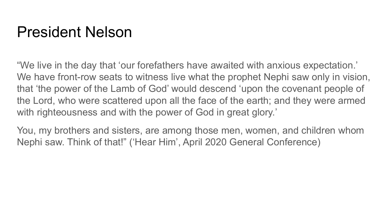#### President Nelson

"We live in the day that 'our forefathers have awaited with anxious expectation.' We have front-row seats to witness live what the prophet Nephi saw only in vision, that 'the power of the Lamb of God' would descend 'upon the covenant people of the Lord, who were scattered upon all the face of the earth; and they were armed with righteousness and with the power of God in great glory.'

You, my brothers and sisters, are among those men, women, and children whom Nephi saw. Think of that!" ('Hear Him', April 2020 General Conference)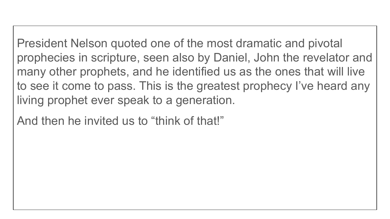President Nelson quoted one of the most dramatic and pivotal prophecies in scripture, seen also by Daniel, John the revelator and many other prophets, and he identified us as the ones that will live to see it come to pass. This is the greatest prophecy I've heard any living prophet ever speak to a generation.

And then he invited us to "think of that!"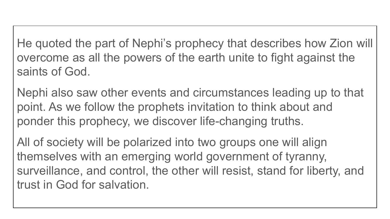He quoted the part of Nephi's prophecy that describes how Zion will overcome as all the powers of the earth unite to fight against the saints of God.

Nephi also saw other events and circumstances leading up to that point. As we follow the prophets invitation to think about and ponder this prophecy, we discover life-changing truths.

All of society will be polarized into two groups one will align themselves with an emerging world government of tyranny, surveillance, and control, the other will resist, stand for liberty, and trust in God for salvation.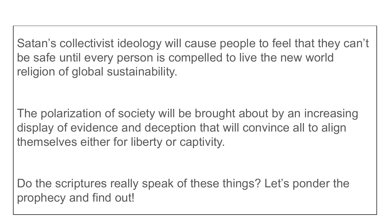Satan's collectivist ideology will cause people to feel that they can't be safe until every person is compelled to live the new world religion of global sustainability.

The polarization of society will be brought about by an increasing display of evidence and deception that will convince all to align themselves either for liberty or captivity.

Do the scriptures really speak of these things? Let's ponder the prophecy and find out!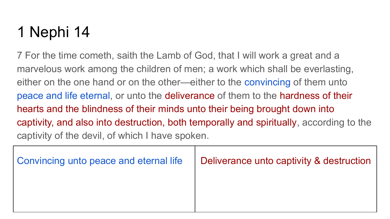7 For the time cometh, saith the Lamb of God, that I will work a great and a marvelous work among the children of men; a work which shall be everlasting, either on the one hand or on the other—either to the convincing of them unto peace and life eternal, or unto the deliverance of them to the hardness of their hearts and the blindness of their minds unto their being brought down into captivity, and also into destruction, both temporally and spiritually, according to the captivity of the devil, of which I have spoken.

| Convincing unto peace and eternal life | Deliverance unto captivity & destruction |
|----------------------------------------|------------------------------------------|
|                                        |                                          |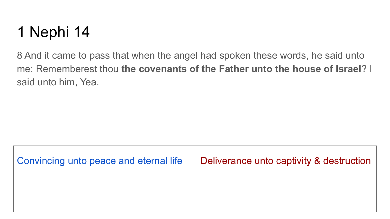8 And it came to pass that when the angel had spoken these words, he said unto me: Rememberest thou **the covenants of the Father unto the house of Israel**? I said unto him, Yea.

| Convincing unto peace and eternal life | Deliverance unto captivity & destruction |
|----------------------------------------|------------------------------------------|
|                                        |                                          |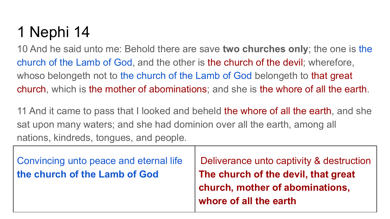10 And he said unto me: Behold there are save **two churches only**; the one is the church of the Lamb of God, and the other is the church of the devil; wherefore, whoso belongeth not to the church of the Lamb of God belongeth to that great church, which is the mother of abominations; and she is the whore of all the earth.

11 And it came to pass that I looked and beheld the whore of all the earth, and she sat upon many waters; and she had dominion over all the earth, among all nations, kindreds, tongues, and people.

| Convincing unto peace and eternal life<br>the church of the Lamb of God | Deliverance unto captivity & destruction<br>The church of the devil, that great<br>church, mother of abominations, |
|-------------------------------------------------------------------------|--------------------------------------------------------------------------------------------------------------------|
|                                                                         | whore of all the earth                                                                                             |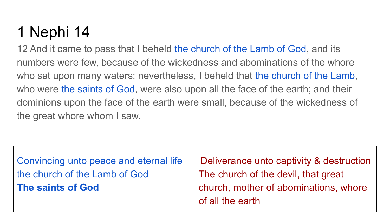12 And it came to pass that I beheld the church of the Lamb of God, and its numbers were few, because of the wickedness and abominations of the whore who sat upon many waters; nevertheless, I beheld that the church of the Lamb, who were the saints of God, were also upon all the face of the earth; and their dominions upon the face of the earth were small, because of the wickedness of the great whore whom I saw.

| Convincing unto peace and eternal life | Deliverance unto captivity & destruction |
|----------------------------------------|------------------------------------------|
| the church of the Lamb of God          | The church of the devil, that great      |
| The saints of God                      | church, mother of abominations, whore    |
|                                        | of all the earth                         |
|                                        |                                          |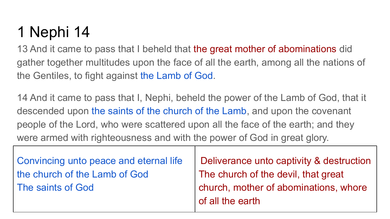13 And it came to pass that I beheld that the great mother of abominations did gather together multitudes upon the face of all the earth, among all the nations of the Gentiles, to fight against the Lamb of God.

14 And it came to pass that I, Nephi, beheld the power of the Lamb of God, that it descended upon the saints of the church of the Lamb, and upon the covenant people of the Lord, who were scattered upon all the face of the earth; and they were armed with righteousness and with the power of God in great glory.

| Convincing unto peace and eternal life | Deliverance unto captivity & destruction |
|----------------------------------------|------------------------------------------|
| the church of the Lamb of God          | The church of the devil, that great      |
| The saints of God                      | church, mother of abominations, whore    |
|                                        | of all the earth                         |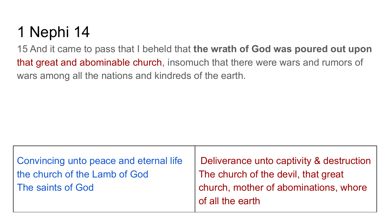15 And it came to pass that I beheld that **the wrath of God was poured out upon** that great and abominable church, insomuch that there were wars and rumors of wars among all the nations and kindreds of the earth.

| Convincing unto peace and eternal life | Deliverance unto captivity & destruction                  |
|----------------------------------------|-----------------------------------------------------------|
| the church of the Lamb of God          | The church of the devil, that great                       |
| The saints of God                      | church, mother of abominations, whore<br>of all the earth |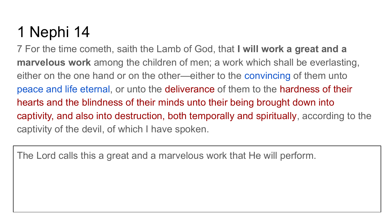7 For the time cometh, saith the Lamb of God, that **I will work a great and a marvelous work** among the children of men; a work which shall be everlasting, either on the one hand or on the other—either to the convincing of them unto peace and life eternal, or unto the deliverance of them to the hardness of their hearts and the blindness of their minds unto their being brought down into captivity, and also into destruction, both temporally and spiritually, according to the captivity of the devil, of which I have spoken.

The Lord calls this a great and a marvelous work that He will perform.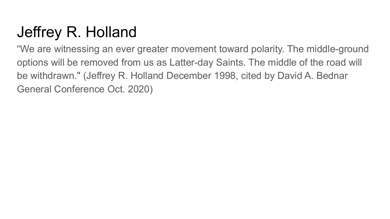## Jeffrey R. Holland

"We are witnessing an ever greater movement toward polarity. The middle-ground options will be removed from us as Latter-day Saints. The middle of the road will be withdrawn." (Jeffrey R. Holland December 1998, cited by David A. Bednar General Conference Oct. 2020)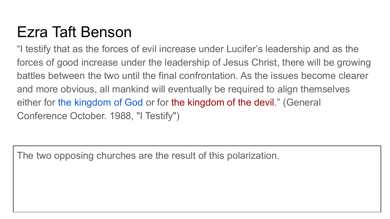## Ezra Taft Benson

"I testify that as the forces of evil increase under Lucifer's leadership and as the forces of good increase under the leadership of Jesus Christ, there will be growing battles between the two until the final confrontation. As the issues become clearer and more obvious, all mankind will eventually be required to align themselves either for the kingdom of God or for the kingdom of the devil." (General Conference October. 1988, "I Testify")

The two opposing churches are the result of this polarization.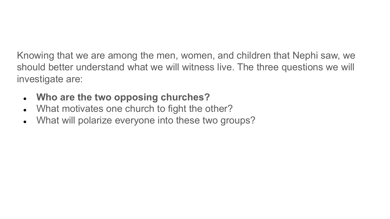Knowing that we are among the men, women, and children that Nephi saw, we should better understand what we will witness live. The three questions we will investigate are:

- **● Who are the two opposing churches?**
- What motivates one church to fight the other?
- What will polarize everyone into these two groups?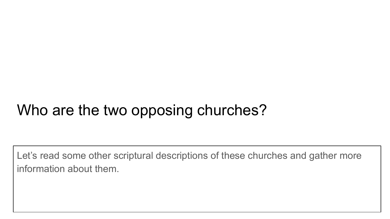### Who are the two opposing churches?

Let's read some other scriptural descriptions of these churches and gather more information about them.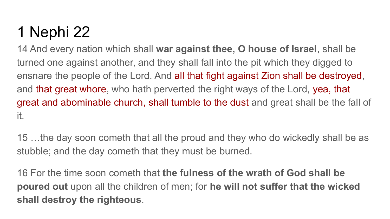14 And every nation which shall **war against thee, O house of Israel**, shall be turned one against another, and they shall fall into the pit which they digged to ensnare the people of the Lord. And all that fight against Zion shall be destroyed, and that great whore, who hath perverted the right ways of the Lord, yea, that great and abominable church, shall tumble to the dust and great shall be the fall of it.

15 …the day soon cometh that all the proud and they who do wickedly shall be as stubble; and the day cometh that they must be burned.

16 For the time soon cometh that **the fulness of the wrath of God shall be poured out** upon all the children of men; for **he will not suffer that the wicked shall destroy the righteous**.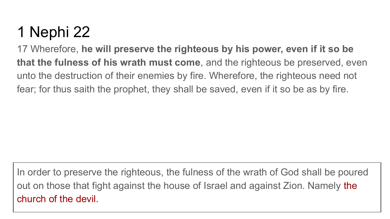17 Wherefore, **he will preserve the righteous by his power, even if it so be that the fulness of his wrath must come**, and the righteous be preserved, even unto the destruction of their enemies by fire. Wherefore, the righteous need not fear; for thus saith the prophet, they shall be saved, even if it so be as by fire.

In order to preserve the righteous, the fulness of the wrath of God shall be poured out on those that fight against the house of Israel and against Zion. Namely the church of the devil.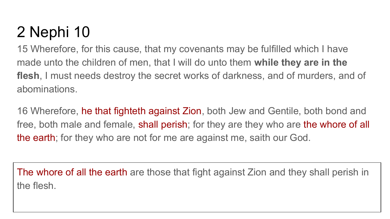15 Wherefore, for this cause, that my covenants may be fulfilled which I have made unto the children of men, that I will do unto them **while they are in the flesh**, I must needs destroy the secret works of darkness, and of murders, and of abominations.

16 Wherefore, he that fighteth against Zion, both Jew and Gentile, both bond and free, both male and female, shall perish; for they are they who are the whore of all the earth; for they who are not for me are against me, saith our God.

The whore of all the earth are those that fight against Zion and they shall perish in the flesh.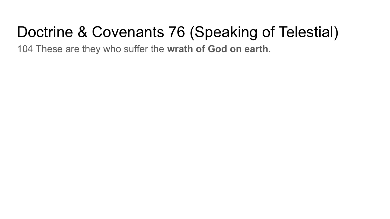## Doctrine & Covenants 76 (Speaking of Telestial)

104 These are they who suffer the **wrath of God on earth**.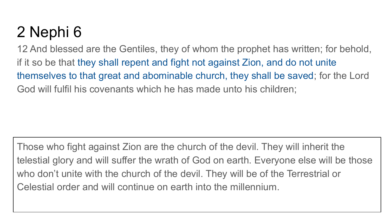12 And blessed are the Gentiles, they of whom the prophet has written; for behold, if it so be that they shall repent and fight not against Zion, and do not unite themselves to that great and abominable church, they shall be saved; for the Lord God will fulfil his covenants which he has made unto his children;

Those who fight against Zion are the church of the devil. They will inherit the telestial glory and will suffer the wrath of God on earth. Everyone else will be those who don't unite with the church of the devil. They will be of the Terrestrial or Celestial order and will continue on earth into the millennium.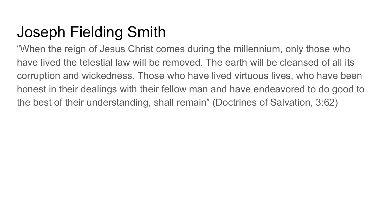## Joseph Fielding Smith

"When the reign of Jesus Christ comes during the millennium, only those who have lived the telestial law will be removed. The earth will be cleansed of all its corruption and wickedness. Those who have lived virtuous lives, who have been honest in their dealings with their fellow man and have endeavored to do good to the best of their understanding, shall remain" (Doctrines of Salvation, 3:62)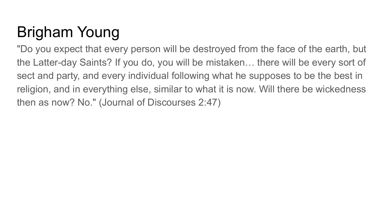# Brigham Young

"Do you expect that every person will be destroyed from the face of the earth, but the Latter-day Saints? If you do, you will be mistaken… there will be every sort of sect and party, and every individual following what he supposes to be the best in religion, and in everything else, similar to what it is now. Will there be wickedness then as now? No." (Journal of Discourses 2:47)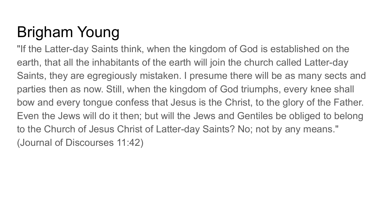# Brigham Young

"If the Latter-day Saints think, when the kingdom of God is established on the earth, that all the inhabitants of the earth will join the church called Latter-day Saints, they are egregiously mistaken. I presume there will be as many sects and parties then as now. Still, when the kingdom of God triumphs, every knee shall bow and every tongue confess that Jesus is the Christ, to the glory of the Father. Even the Jews will do it then; but will the Jews and Gentiles be obliged to belong to the Church of Jesus Christ of Latter-day Saints? No; not by any means." (Journal of Discourses 11:42)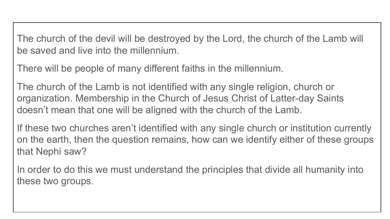The church of the devil will be destroyed by the Lord, the church of the Lamb will be saved and live into the millennium.

There will be people of many different faiths in the millennium.

The church of the Lamb is not identified with any single religion, church or organization. Membership in the Church of Jesus Christ of Latter-day Saints doesn't mean that one will be aligned with the church of the Lamb.

If these two churches aren't identified with any single church or institution currently on the earth, then the question remains, how can we identify either of these groups that Nephi saw?

In order to do this we must understand the principles that divide all humanity into these two groups.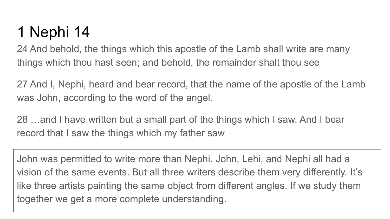24 And behold, the things which this apostle of the Lamb shall write are many things which thou hast seen; and behold, the remainder shalt thou see

27 And I, Nephi, heard and bear record, that the name of the apostle of the Lamb was John, according to the word of the angel.

28 …and I have written but a small part of the things which I saw. And I bear record that I saw the things which my father saw

John was permitted to write more than Nephi. John, Lehi, and Nephi all had a vision of the same events. But all three writers describe them very differently. It's like three artists painting the same object from different angles. If we study them together we get a more complete understanding.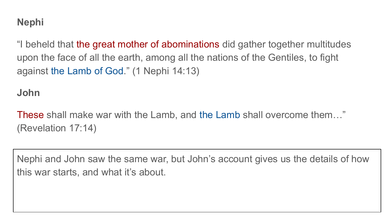"I beheld that the great mother of abominations did gather together multitudes upon the face of all the earth, among all the nations of the Gentiles, to fight against the Lamb of God." (1 Nephi 14:13)

**John**

These shall make war with the Lamb, and the Lamb shall overcome them…" (Revelation 17:14)

Nephi and John saw the same war, but John's account gives us the details of how this war starts, and what it's about.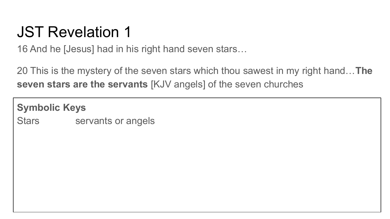#### JST Revelation 1

16 And he [Jesus] had in his right hand seven stars…

20 This is the mystery of the seven stars which thou sawest in my right hand…**The seven stars are the servants** [KJV angels] of the seven churches

**Symbolic Keys** Stars servants or angels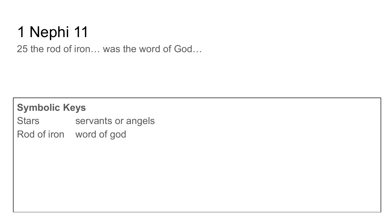25 the rod of iron… was the word of God…

#### **Symbolic Keys**

Stars servants or angels

Rod of iron word of god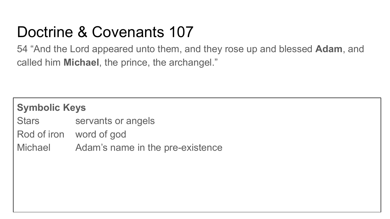## Doctrine & Covenants 107

54 "And the Lord appeared unto them, and they rose up and blessed **Adam**, and called him **Michael**, the prince, the archangel."

| <b>Symbolic Keys</b> |                                  |
|----------------------|----------------------------------|
| Stars                | servants or angels               |
|                      | Rod of iron word of god          |
| Michael              | Adam's name in the pre-existence |
|                      |                                  |
|                      |                                  |
|                      |                                  |
|                      |                                  |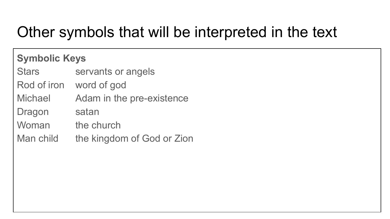#### Other symbols that will be interpreted in the text

#### **Symbolic Keys**

Stars servants or angels

Rod of iron word of god

Michael Adam in the pre-existence

Dragon satan

Woman the church

Man child the kingdom of God or Zion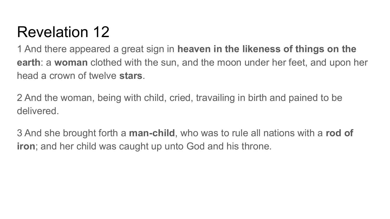1 And there appeared a great sign in **heaven in the likeness of things on the earth**: a **woman** clothed with the sun, and the moon under her feet, and upon her head a crown of twelve **stars**.

2 And the woman, being with child, cried, travailing in birth and pained to be delivered.

3 And she brought forth a **man-child**, who was to rule all nations with a **rod of iron**; and her child was caught up unto God and his throne.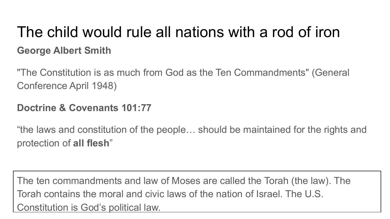#### The child would rule all nations with a rod of iron **George Albert Smith**

"The Constitution is as much from God as the Ten Commandments" (General Conference April 1948)

#### **Doctrine & Covenants 101:77**

"the laws and constitution of the people… should be maintained for the rights and protection of **all flesh**"

The ten commandments and law of Moses are called the Torah (the law). The Torah contains the moral and civic laws of the nation of Israel. The U.S. Constitution is God's political law.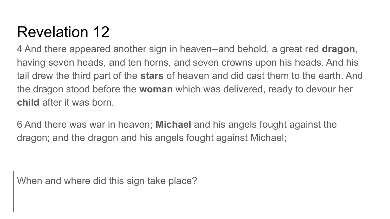4 And there appeared another sign in heaven--and behold, a great red **dragon**, having seven heads, and ten horns, and seven crowns upon his heads. And his tail drew the third part of the **stars** of heaven and did cast them to the earth. And the dragon stood before the **woman** which was delivered, ready to devour her **child** after it was born.

6 And there was war in heaven; **Michael** and his angels fought against the dragon; and the dragon and his angels fought against Michael;

When and where did this sign take place?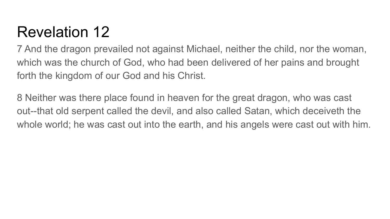7 And the dragon prevailed not against Michael, neither the child, nor the woman, which was the church of God, who had been delivered of her pains and brought forth the kingdom of our God and his Christ.

8 Neither was there place found in heaven for the great dragon, who was cast out--that old serpent called the devil, and also called Satan, which deceiveth the whole world; he was cast out into the earth, and his angels were cast out with him.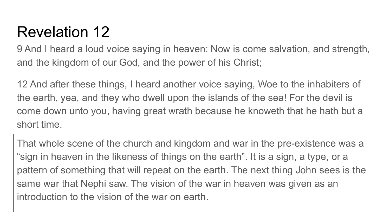9 And I heard a loud voice saying in heaven: Now is come salvation, and strength, and the kingdom of our God, and the power of his Christ;

12 And after these things, I heard another voice saying, Woe to the inhabiters of the earth, yea, and they who dwell upon the islands of the sea! For the devil is come down unto you, having great wrath because he knoweth that he hath but a short time.

That whole scene of the church and kingdom and war in the pre-existence was a "sign in heaven in the likeness of things on the earth". It is a sign, a type, or a pattern of something that will repeat on the earth. The next thing John sees is the same war that Nephi saw. The vision of the war in heaven was given as an introduction to the vision of the war on earth.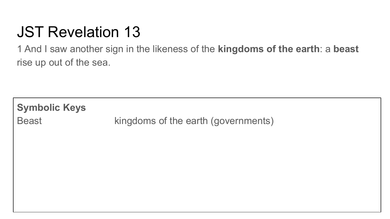## JST Revelation 13

1 And I saw another sign in the likeness of the **kingdoms of the earth**: a **beast** rise up out of the sea.

**Symbolic Keys** Beast kingdoms of the earth (governments)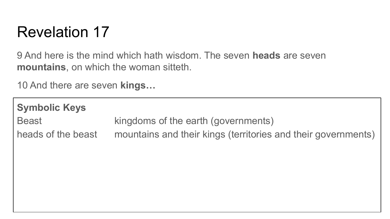9 And here is the mind which hath wisdom. The seven **heads** are seven **mountains**, on which the woman sitteth.

10 And there are seven **kings…**

| <b>Symbolic Keys</b> |                                                               |
|----------------------|---------------------------------------------------------------|
| <b>Beast</b>         | kingdoms of the earth (governments)                           |
| heads of the beast   | mountains and their kings (territories and their governments) |
|                      |                                                               |
|                      |                                                               |
|                      |                                                               |
|                      |                                                               |
|                      |                                                               |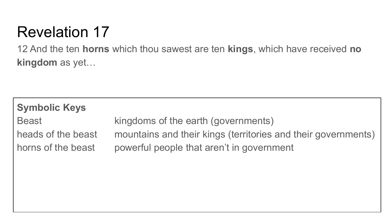12 And the ten **horns** which thou sawest are ten **kings**, which have received **no kingdom** as yet…

| <b>Symbolic Keys</b> |                                                               |
|----------------------|---------------------------------------------------------------|
| <b>Beast</b>         | kingdoms of the earth (governments)                           |
| heads of the beast   | mountains and their kings (territories and their governments) |
| horns of the beast   | powerful people that aren't in government                     |
|                      |                                                               |
|                      |                                                               |
|                      |                                                               |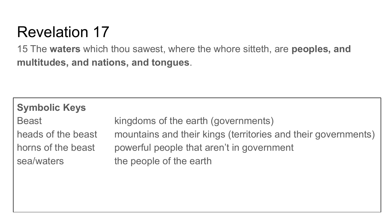15 The **waters** which thou sawest, where the whore sitteth, are **peoples, and multitudes, and nations, and tongues**.

| <b>Symbolic Keys</b>                                   |                                                                                                                                       |
|--------------------------------------------------------|---------------------------------------------------------------------------------------------------------------------------------------|
| <b>Beast</b>                                           | kingdoms of the earth (governments)                                                                                                   |
| heads of the beast<br>horns of the beast<br>sea/waters | mountains and their kings (territories and their governments)<br>powerful people that aren't in government<br>the people of the earth |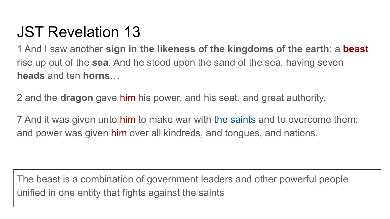#### JST Revelation 13

1 And I saw another **sign in the likeness of the kingdoms of the earth**: a **beast** rise up out of the **sea**. And he stood upon the sand of the sea, having seven **heads** and ten **horns**…

2 and the **dragon** gave him his power, and his seat, and great authority.

7 And it was given unto him to make war with the saints and to overcome them; and power was given him over all kindreds, and tongues, and nations.

The beast is a combination of government leaders and other powerful people unified in one entity that fights against the saints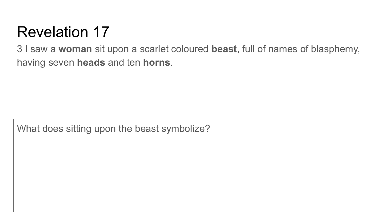3 I saw a **woman** sit upon a scarlet coloured **beast**, full of names of blasphemy, having seven **heads** and ten **horns**.

What does sitting upon the beast symbolize?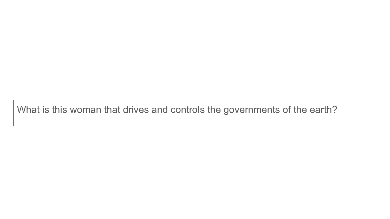What is this woman that drives and controls the governments of the earth?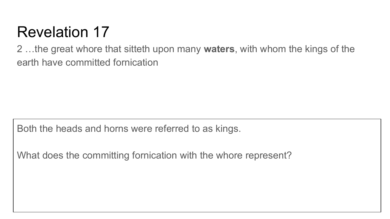2 …the great whore that sitteth upon many **waters**, with whom the kings of the earth have committed fornication

Both the heads and horns were referred to as kings.

What does the committing fornication with the whore represent?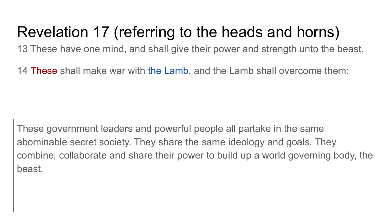#### Revelation 17 (referring to the heads and horns)

13 These have one mind, and shall give their power and strength unto the beast.

14 These shall make war with the Lamb, and the Lamb shall overcome them:

These government leaders and powerful people all partake in the same abominable secret society. They share the same ideology and goals. They combine, collaborate and share their power to build up a world governing body, the beast.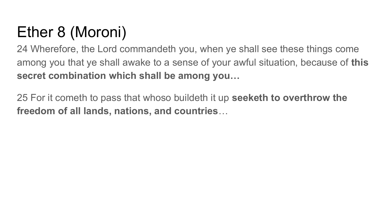# Ether 8 (Moroni)

24 Wherefore, the Lord commandeth you, when ye shall see these things come among you that ye shall awake to a sense of your awful situation, because of **this secret combination which shall be among you…**

25 For it cometh to pass that whoso buildeth it up **seeketh to overthrow the freedom of all lands, nations, and countries**…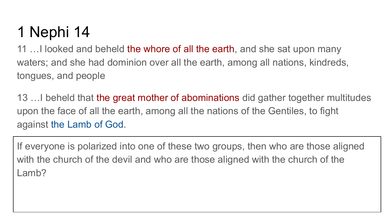11 ... I looked and beheld the whore of all the earth, and she sat upon many waters; and she had dominion over all the earth, among all nations, kindreds, tongues, and people

13 …I beheld that the great mother of abominations did gather together multitudes upon the face of all the earth, among all the nations of the Gentiles, to fight against the Lamb of God.

If everyone is polarized into one of these two groups, then who are those aligned with the church of the devil and who are those aligned with the church of the Lamb?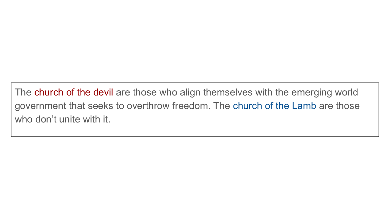The church of the devil are those who align themselves with the emerging world government that seeks to overthrow freedom. The church of the Lamb are those who don't unite with it.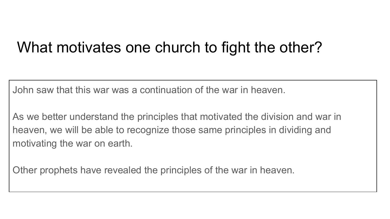#### What motivates one church to fight the other?

John saw that this war was a continuation of the war in heaven.

As we better understand the principles that motivated the division and war in heaven, we will be able to recognize those same principles in dividing and motivating the war on earth.

Other prophets have revealed the principles of the war in heaven.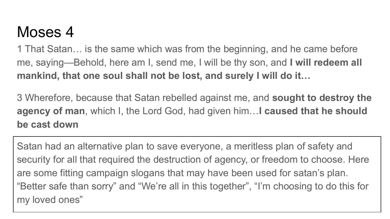#### Moses 4

1 That Satan… is the same which was from the beginning, and he came before me, saying—Behold, here am I, send me, I will be thy son, and **I will redeem all mankind, that one soul shall not be lost, and surely I will do it…**

3 Wherefore, because that Satan rebelled against me, and **sought to destroy the agency of man**, which I, the Lord God, had given him…**I caused that he should be cast down**

Satan had an alternative plan to save everyone, a meritless plan of safety and security for all that required the destruction of agency, or freedom to choose. Here are some fitting campaign slogans that may have been used for satan's plan. "Better safe than sorry" and "We're all in this together", "I'm choosing to do this for my loved ones"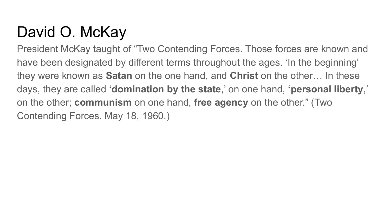### David O. McKay

President McKay taught of "Two Contending Forces. Those forces are known and have been designated by different terms throughout the ages. 'In the beginning' they were known as **Satan** on the one hand, and **Christ** on the other… In these days, they are called **'domination by the state**,' on one hand, **'personal liberty**,' on the other; **communism** on one hand, **free agency** on the other." (Two Contending Forces. May 18, 1960.)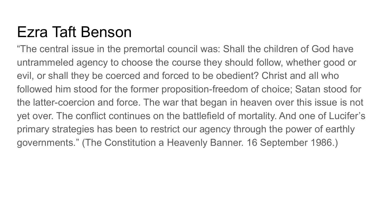### Ezra Taft Benson

"The central issue in the premortal council was: Shall the children of God have untrammeled agency to choose the course they should follow, whether good or evil, or shall they be coerced and forced to be obedient? Christ and all who followed him stood for the former proposition-freedom of choice; Satan stood for the latter-coercion and force. The war that began in heaven over this issue is not yet over. The conflict continues on the battlefield of mortality. And one of Lucifer's primary strategies has been to restrict our agency through the power of earthly governments." (The Constitution a Heavenly Banner. 16 September 1986.)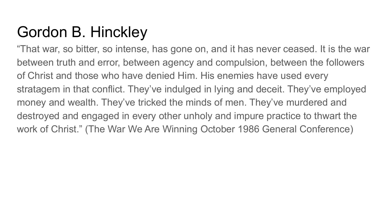### Gordon B. Hinckley

"That war, so bitter, so intense, has gone on, and it has never ceased. It is the war between truth and error, between agency and compulsion, between the followers of Christ and those who have denied Him. His enemies have used every stratagem in that conflict. They've indulged in lying and deceit. They've employed money and wealth. They've tricked the minds of men. They've murdered and destroyed and engaged in every other unholy and impure practice to thwart the work of Christ." (The War We Are Winning October 1986 General Conference)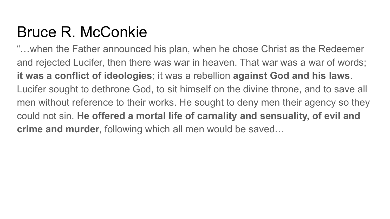### Bruce R. McConkie

"…when the Father announced his plan, when he chose Christ as the Redeemer and rejected Lucifer, then there was war in heaven. That war was a war of words; **it was a conflict of ideologies**; it was a rebellion **against God and his laws**. Lucifer sought to dethrone God, to sit himself on the divine throne, and to save all men without reference to their works. He sought to deny men their agency so they could not sin. **He offered a mortal life of carnality and sensuality, of evil and crime and murder**, following which all men would be saved…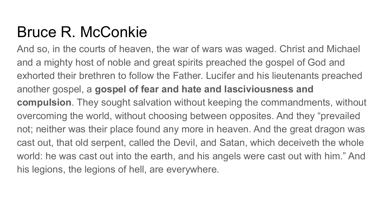#### Bruce R. McConkie

And so, in the courts of heaven, the war of wars was waged. Christ and Michael and a mighty host of noble and great spirits preached the gospel of God and exhorted their brethren to follow the Father. Lucifer and his lieutenants preached another gospel, a **gospel of fear and hate and lasciviousness and compulsion**. They sought salvation without keeping the commandments, without overcoming the world, without choosing between opposites. And they "prevailed not; neither was their place found any more in heaven. And the great dragon was cast out, that old serpent, called the Devil, and Satan, which deceiveth the whole world: he was cast out into the earth, and his angels were cast out with him." And his legions, the legions of hell, are everywhere.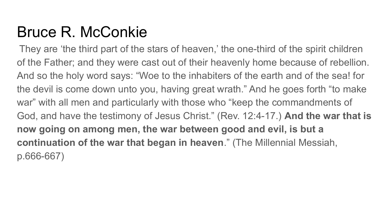#### Bruce R. McConkie

 They are 'the third part of the stars of heaven,' the one-third of the spirit children of the Father; and they were cast out of their heavenly home because of rebellion. And so the holy word says: "Woe to the inhabiters of the earth and of the sea! for the devil is come down unto you, having great wrath." And he goes forth "to make war" with all men and particularly with those who "keep the commandments of God, and have the testimony of Jesus Christ." (Rev. 12:4-17.) **And the war that is now going on among men, the war between good and evil, is but a continuation of the war that began in heaven**." (The Millennial Messiah, p.666-667)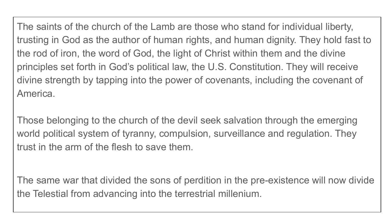The saints of the church of the Lamb are those who stand for individual liberty, trusting in God as the author of human rights, and human dignity. They hold fast to the rod of iron, the word of God, the light of Christ within them and the divine principles set forth in God's political law, the U.S. Constitution. They will receive divine strength by tapping into the power of covenants, including the covenant of America.

Those belonging to the church of the devil seek salvation through the emerging world political system of tyranny, compulsion, surveillance and regulation. They trust in the arm of the flesh to save them.

The same war that divided the sons of perdition in the pre-existence will now divide the Telestial from advancing into the terrestrial millenium.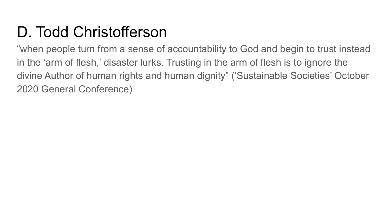### D. Todd Christofferson

"when people turn from a sense of accountability to God and begin to trust instead in the 'arm of flesh,' disaster lurks. Trusting in the arm of flesh is to ignore the divine Author of human rights and human dignity" ('Sustainable Societies' October 2020 General Conference)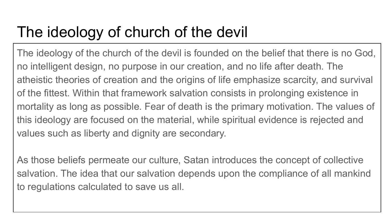### The ideology of church of the devil

The ideology of the church of the devil is founded on the belief that there is no God, no intelligent design, no purpose in our creation, and no life after death. The atheistic theories of creation and the origins of life emphasize scarcity, and survival of the fittest. Within that framework salvation consists in prolonging existence in mortality as long as possible. Fear of death is the primary motivation. The values of this ideology are focused on the material, while spiritual evidence is rejected and values such as liberty and dignity are secondary.

As those beliefs permeate our culture, Satan introduces the concept of collective salvation. The idea that our salvation depends upon the compliance of all mankind to regulations calculated to save us all.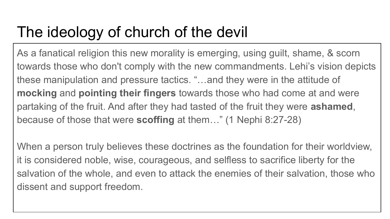### The ideology of church of the devil

As a fanatical religion this new morality is emerging, using guilt, shame, & scorn towards those who don't comply with the new commandments. Lehi's vision depicts these manipulation and pressure tactics. "…and they were in the attitude of **mocking** and **pointing their fingers** towards those who had come at and were partaking of the fruit. And after they had tasted of the fruit they were **ashamed**, because of those that were **scoffing** at them…" (1 Nephi 8:27-28)

When a person truly believes these doctrines as the foundation for their worldview, it is considered noble, wise, courageous, and selfless to sacrifice liberty for the salvation of the whole, and even to attack the enemies of their salvation, those who dissent and support freedom.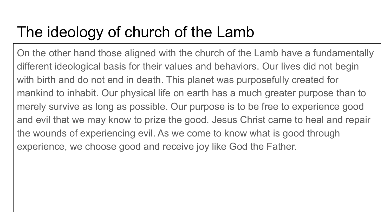### The ideology of church of the Lamb

On the other hand those aligned with the church of the Lamb have a fundamentally different ideological basis for their values and behaviors. Our lives did not begin with birth and do not end in death. This planet was purposefully created for mankind to inhabit. Our physical life on earth has a much greater purpose than to merely survive as long as possible. Our purpose is to be free to experience good and evil that we may know to prize the good. Jesus Christ came to heal and repair the wounds of experiencing evil. As we come to know what is good through experience, we choose good and receive joy like God the Father.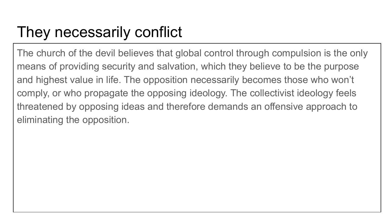### They necessarily conflict

The church of the devil believes that global control through compulsion is the only means of providing security and salvation, which they believe to be the purpose and highest value in life. The opposition necessarily becomes those who won't comply, or who propagate the opposing ideology. The collectivist ideology feels threatened by opposing ideas and therefore demands an offensive approach to eliminating the opposition.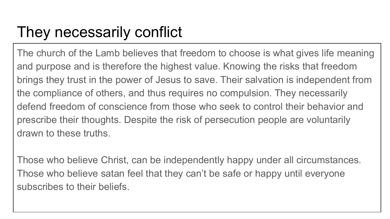### They necessarily conflict

The church of the Lamb believes that freedom to choose is what gives life meaning and purpose and is therefore the highest value. Knowing the risks that freedom brings they trust in the power of Jesus to save. Their salvation is independent from the compliance of others, and thus requires no compulsion. They necessarily defend freedom of conscience from those who seek to control their behavior and prescribe their thoughts. Despite the risk of persecution people are voluntarily drawn to these truths.

Those who believe Christ, can be independently happy under all circumstances. Those who believe satan feel that they can't be safe or happy until everyone subscribes to their beliefs.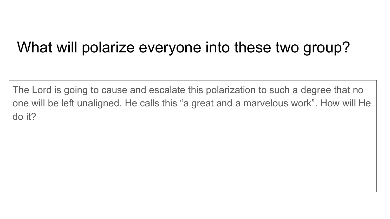#### What will polarize everyone into these two group?

The Lord is going to cause and escalate this polarization to such a degree that no one will be left unaligned. He calls this "a great and a marvelous work". How will He do it?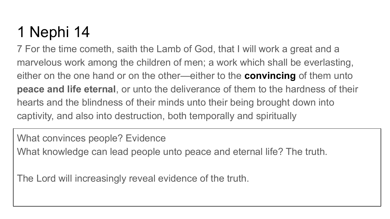7 For the time cometh, saith the Lamb of God, that I will work a great and a marvelous work among the children of men; a work which shall be everlasting, either on the one hand or on the other—either to the **convincing** of them unto **peace and life eternal**, or unto the deliverance of them to the hardness of their hearts and the blindness of their minds unto their being brought down into captivity, and also into destruction, both temporally and spiritually

What convinces people? Evidence What knowledge can lead people unto peace and eternal life? The truth.

The Lord will increasingly reveal evidence of the truth.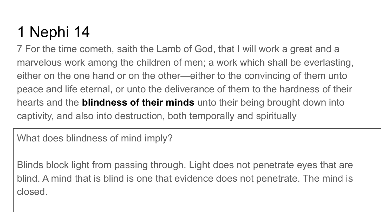7 For the time cometh, saith the Lamb of God, that I will work a great and a marvelous work among the children of men; a work which shall be everlasting, either on the one hand or on the other—either to the convincing of them unto peace and life eternal, or unto the deliverance of them to the hardness of their hearts and the **blindness of their minds** unto their being brought down into captivity, and also into destruction, both temporally and spiritually

What does blindness of mind imply?

Blinds block light from passing through. Light does not penetrate eyes that are blind. A mind that is blind is one that evidence does not penetrate. The mind is closed.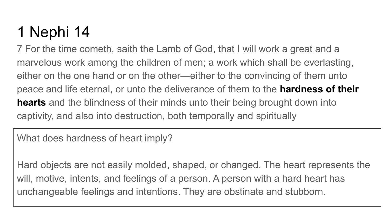7 For the time cometh, saith the Lamb of God, that I will work a great and a marvelous work among the children of men; a work which shall be everlasting, either on the one hand or on the other—either to the convincing of them unto peace and life eternal, or unto the deliverance of them to the **hardness of their hearts** and the blindness of their minds unto their being brought down into captivity, and also into destruction, both temporally and spiritually

What does hardness of heart imply?

Hard objects are not easily molded, shaped, or changed. The heart represents the will, motive, intents, and feelings of a person. A person with a hard heart has unchangeable feelings and intentions. They are obstinate and stubborn.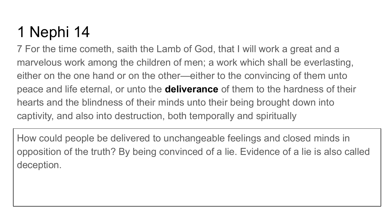7 For the time cometh, saith the Lamb of God, that I will work a great and a marvelous work among the children of men; a work which shall be everlasting, either on the one hand or on the other—either to the convincing of them unto peace and life eternal, or unto the **deliverance** of them to the hardness of their hearts and the blindness of their minds unto their being brought down into captivity, and also into destruction, both temporally and spiritually

How could people be delivered to unchangeable feelings and closed minds in opposition of the truth? By being convinced of a lie. Evidence of a lie is also called deception.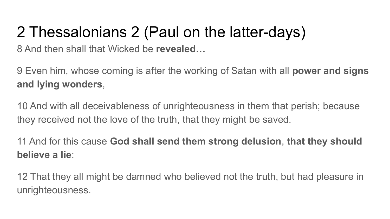### 2 Thessalonians 2 (Paul on the latter-days)

8 And then shall that Wicked be **revealed…**

9 Even him, whose coming is after the working of Satan with all **power and signs and lying wonders**,

10 And with all deceivableness of unrighteousness in them that perish; because they received not the love of the truth, that they might be saved.

11 And for this cause **God shall send them strong delusion**, **that they should believe a lie**:

12 That they all might be damned who believed not the truth, but had pleasure in unrighteousness.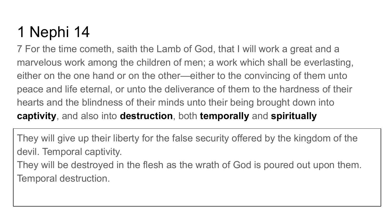7 For the time cometh, saith the Lamb of God, that I will work a great and a marvelous work among the children of men; a work which shall be everlasting, either on the one hand or on the other—either to the convincing of them unto peace and life eternal, or unto the deliverance of them to the hardness of their hearts and the blindness of their minds unto their being brought down into **captivity**, and also into **destruction**, both **temporally** and **spiritually**

They will give up their liberty for the false security offered by the kingdom of the devil. Temporal captivity.

They will be destroyed in the flesh as the wrath of God is poured out upon them. Temporal destruction.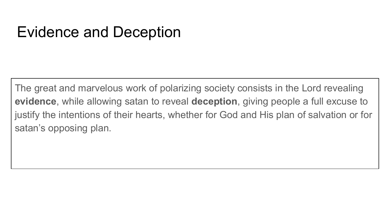#### Evidence and Deception

The great and marvelous work of polarizing society consists in the Lord revealing **evidence**, while allowing satan to reveal **deception**, giving people a full excuse to justify the intentions of their hearts, whether for God and His plan of salvation or for satan's opposing plan.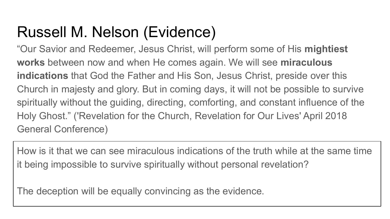### Russell M. Nelson (Evidence)

"Our Savior and Redeemer, Jesus Christ, will perform some of His **mightiest works** between now and when He comes again. We will see **miraculous indications** that God the Father and His Son, Jesus Christ, preside over this Church in majesty and glory. But in coming days, it will not be possible to survive spiritually without the guiding, directing, comforting, and constant influence of the Holy Ghost." ('Revelation for the Church, Revelation for Our Lives' April 2018 General Conference)

How is it that we can see miraculous indications of the truth while at the same time it being impossible to survive spiritually without personal revelation?

The deception will be equally convincing as the evidence.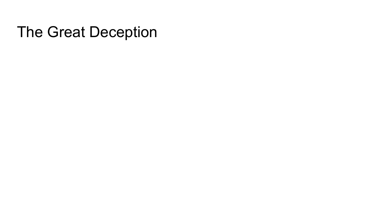#### The Great Deception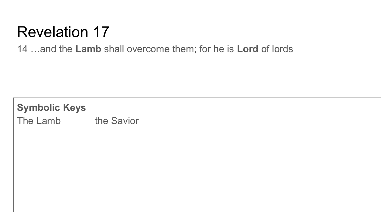14 …and the **Lamb** shall overcome them; for he is **Lord** of lords

**Symbolic Keys** The Lamb the Savior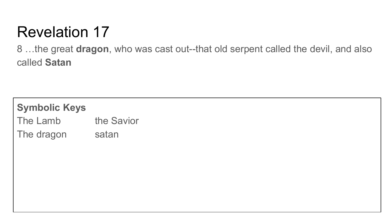8 …the great **dragon**, who was cast out--that old serpent called the devil, and also called **Satan**

| <b>Symbolic Keys</b> |            |
|----------------------|------------|
| The Lamb             | the Savior |
| The dragon           | satan      |
|                      |            |
|                      |            |
|                      |            |
|                      |            |
|                      |            |
|                      |            |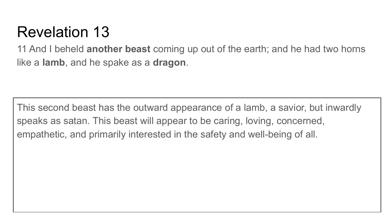11 And I beheld **another beast** coming up out of the earth; and he had two horns like a **lamb**, and he spake as a **dragon**.

This second beast has the outward appearance of a lamb, a savior, but inwardly speaks as satan. This beast will appear to be caring, loving, concerned, empathetic, and primarily interested in the safety and well-being of all.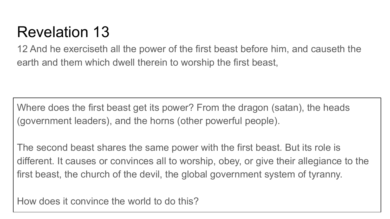12 And he exerciseth all the power of the first beast before him, and causeth the earth and them which dwell therein to worship the first beast,

Where does the first beast get its power? From the dragon (satan), the heads (government leaders), and the horns (other powerful people).

The second beast shares the same power with the first beast. But its role is different. It causes or convinces all to worship, obey, or give their allegiance to the first beast, the church of the devil, the global government system of tyranny.

How does it convince the world to do this?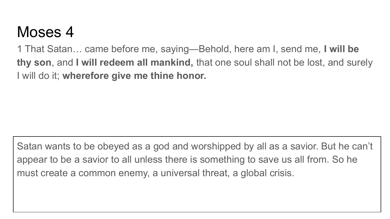#### Moses 4

1 That Satan… came before me, saying—Behold, here am I, send me, **I will be thy son**, and **I will redeem all mankind,** that one soul shall not be lost, and surely I will do it; **wherefore give me thine honor.**

Satan wants to be obeyed as a god and worshipped by all as a savior. But he can't appear to be a savior to all unless there is something to save us all from. So he must create a common enemy, a universal threat, a global crisis.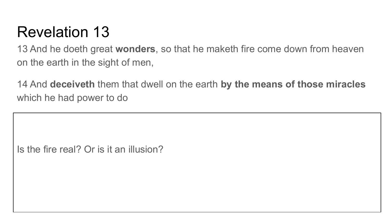13 And he doeth great **wonders**, so that he maketh fire come down from heaven on the earth in the sight of men,

14 And **deceiveth** them that dwell on the earth **by the means of those miracles** which he had power to do

Is the fire real? Or is it an illusion?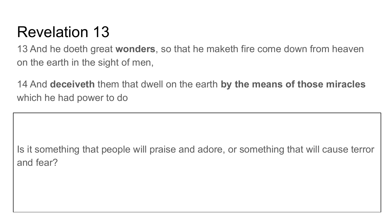13 And he doeth great **wonders**, so that he maketh fire come down from heaven on the earth in the sight of men,

14 And **deceiveth** them that dwell on the earth **by the means of those miracles** which he had power to do

Is it something that people will praise and adore, or something that will cause terror and fear?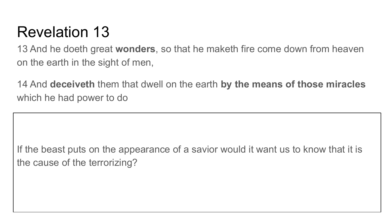13 And he doeth great **wonders**, so that he maketh fire come down from heaven on the earth in the sight of men,

14 And **deceiveth** them that dwell on the earth **by the means of those miracles** which he had power to do

If the beast puts on the appearance of a savior would it want us to know that it is the cause of the terrorizing?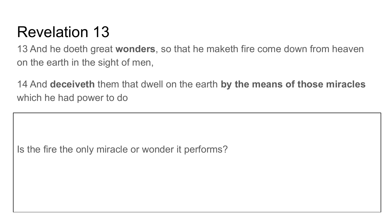13 And he doeth great **wonders**, so that he maketh fire come down from heaven on the earth in the sight of men,

14 And **deceiveth** them that dwell on the earth **by the means of those miracles** which he had power to do

Is the fire the only miracle or wonder it performs?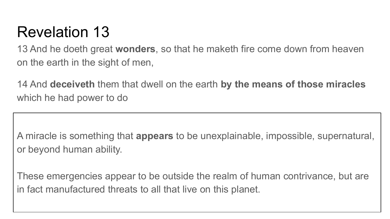13 And he doeth great **wonders**, so that he maketh fire come down from heaven on the earth in the sight of men,

14 And **deceiveth** them that dwell on the earth **by the means of those miracles** which he had power to do

A miracle is something that **appears** to be unexplainable, impossible, supernatural, or beyond human ability.

These emergencies appear to be outside the realm of human contrivance, but are in fact manufactured threats to all that live on this planet.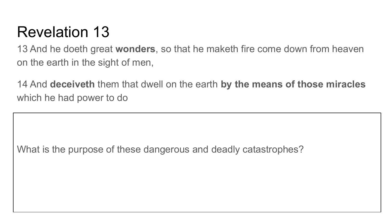13 And he doeth great **wonders**, so that he maketh fire come down from heaven on the earth in the sight of men,

14 And **deceiveth** them that dwell on the earth **by the means of those miracles** which he had power to do

What is the purpose of these dangerous and deadly catastrophes?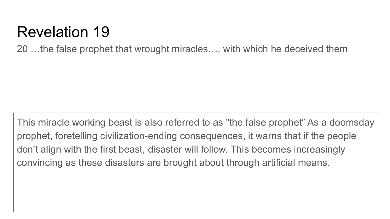20 …the false prophet that wrought miracles…, with which he deceived them

This miracle working beast is also referred to as "the false prophet" As a doomsday prophet, foretelling civilization-ending consequences, it warns that if the people don't align with the first beast, disaster will follow. This becomes increasingly convincing as these disasters are brought about through artificial means.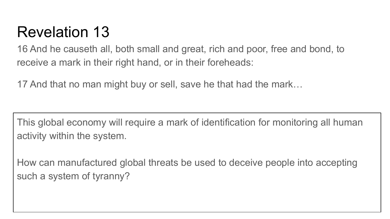16 And he causeth all, both small and great, rich and poor, free and bond, to receive a mark in their right hand, or in their foreheads:

17 And that no man might buy or sell, save he that had the mark…

This global economy will require a mark of identification for monitoring all human activity within the system.

How can manufactured global threats be used to deceive people into accepting such a system of tyranny?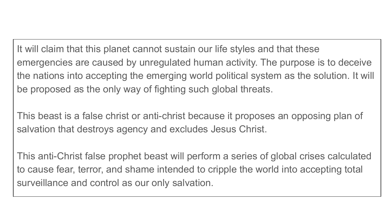It will claim that this planet cannot sustain our life styles and that these emergencies are caused by unregulated human activity. The purpose is to deceive the nations into accepting the emerging world political system as the solution. It will be proposed as the only way of fighting such global threats.

This beast is a false christ or anti-christ because it proposes an opposing plan of salvation that destroys agency and excludes Jesus Christ.

This anti-Christ false prophet beast will perform a series of global crises calculated to cause fear, terror, and shame intended to cripple the world into accepting total surveillance and control as our only salvation.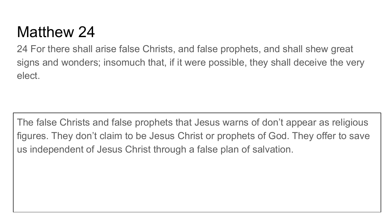### Matthew 24

24 For there shall arise false Christs, and false prophets, and shall shew great signs and wonders; insomuch that, if it were possible, they shall deceive the very elect.

The false Christs and false prophets that Jesus warns of don't appear as religious figures. They don't claim to be Jesus Christ or prophets of God. They offer to save us independent of Jesus Christ through a false plan of salvation.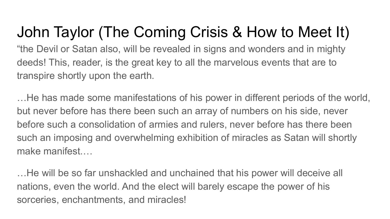John Taylor (The Coming Crisis & How to Meet It) "the Devil or Satan also, will be revealed in signs and wonders and in mighty deeds! This, reader, is the great key to all the marvelous events that are to transpire shortly upon the earth.

…He has made some manifestations of his power in different periods of the world, but never before has there been such an array of numbers on his side, never before such a consolidation of armies and rulers, never before has there been such an imposing and overwhelming exhibition of miracles as Satan will shortly make manifest.…

…He will be so far unshackled and unchained that his power will deceive all nations, even the world. And the elect will barely escape the power of his sorceries, enchantments, and miracles!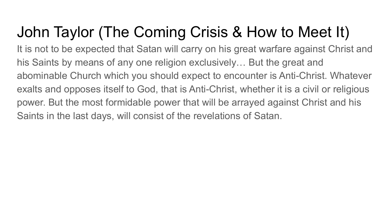It is not to be expected that Satan will carry on his great warfare against Christ and his Saints by means of any one religion exclusively… But the great and abominable Church which you should expect to encounter is Anti-Christ. Whatever exalts and opposes itself to God, that is Anti-Christ, whether it is a civil or religious power. But the most formidable power that will be arrayed against Christ and his Saints in the last days, will consist of the revelations of Satan.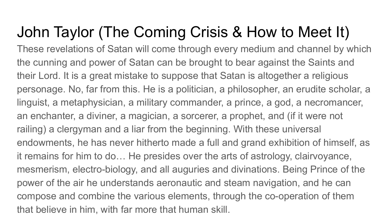These revelations of Satan will come through every medium and channel by which the cunning and power of Satan can be brought to bear against the Saints and their Lord. It is a great mistake to suppose that Satan is altogether a religious personage. No, far from this. He is a politician, a philosopher, an erudite scholar, a linguist, a metaphysician, a military commander, a prince, a god, a necromancer, an enchanter, a diviner, a magician, a sorcerer, a prophet, and (if it were not railing) a clergyman and a liar from the beginning. With these universal endowments, he has never hitherto made a full and grand exhibition of himself, as it remains for him to do… He presides over the arts of astrology, clairvoyance, mesmerism, electro-biology, and all auguries and divinations. Being Prince of the power of the air he understands aeronautic and steam navigation, and he can compose and combine the various elements, through the co-operation of them that believe in him, with far more that human skill.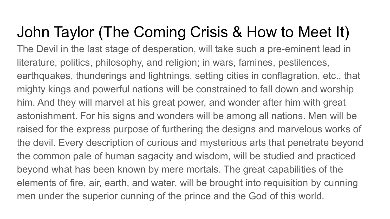The Devil in the last stage of desperation, will take such a pre-eminent lead in literature, politics, philosophy, and religion; in wars, famines, pestilences, earthquakes, thunderings and lightnings, setting cities in conflagration, etc., that mighty kings and powerful nations will be constrained to fall down and worship him. And they will marvel at his great power, and wonder after him with great astonishment. For his signs and wonders will be among all nations. Men will be raised for the express purpose of furthering the designs and marvelous works of the devil. Every description of curious and mysterious arts that penetrate beyond the common pale of human sagacity and wisdom, will be studied and practiced beyond what has been known by mere mortals. The great capabilities of the elements of fire, air, earth, and water, will be brought into requisition by cunning men under the superior cunning of the prince and the God of this world.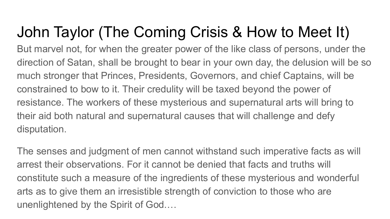But marvel not, for when the greater power of the like class of persons, under the direction of Satan, shall be brought to bear in your own day, the delusion will be so much stronger that Princes, Presidents, Governors, and chief Captains, will be constrained to bow to it. Their credulity will be taxed beyond the power of resistance. The workers of these mysterious and supernatural arts will bring to their aid both natural and supernatural causes that will challenge and defy disputation.

The senses and judgment of men cannot withstand such imperative facts as will arrest their observations. For it cannot be denied that facts and truths will constitute such a measure of the ingredients of these mysterious and wonderful arts as to give them an irresistible strength of conviction to those who are unenlightened by the Spirit of God.…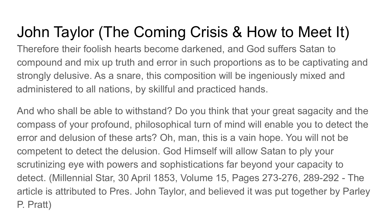Therefore their foolish hearts become darkened, and God suffers Satan to compound and mix up truth and error in such proportions as to be captivating and strongly delusive. As a snare, this composition will be ingeniously mixed and administered to all nations, by skillful and practiced hands.

And who shall be able to withstand? Do you think that your great sagacity and the compass of your profound, philosophical turn of mind will enable you to detect the error and delusion of these arts? Oh, man, this is a vain hope. You will not be competent to detect the delusion. God Himself will allow Satan to ply your scrutinizing eye with powers and sophistications far beyond your capacity to detect. (Millennial Star, 30 April 1853, Volume 15, Pages 273-276, 289-292 - The article is attributed to Pres. John Taylor, and believed it was put together by Parley P. Pratt)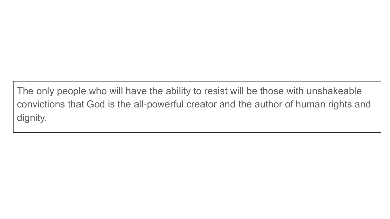The only people who will have the ability to resist will be those with unshakeable convictions that God is the all-powerful creator and the author of human rights and dignity.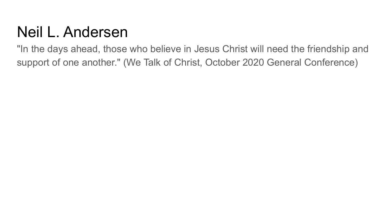# Neil L. Andersen

"In the days ahead, those who believe in Jesus Christ will need the friendship and support of one another." (We Talk of Christ, October 2020 General Conference)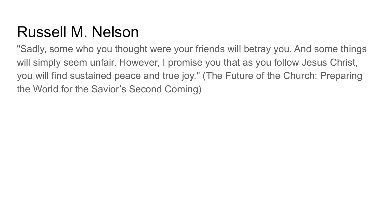# Russell M. Nelson

"Sadly, some who you thought were your friends will betray you. And some things will simply seem unfair. However, I promise you that as you follow Jesus Christ, you will find sustained peace and true joy." (The Future of the Church: Preparing the World for the Savior's Second Coming)